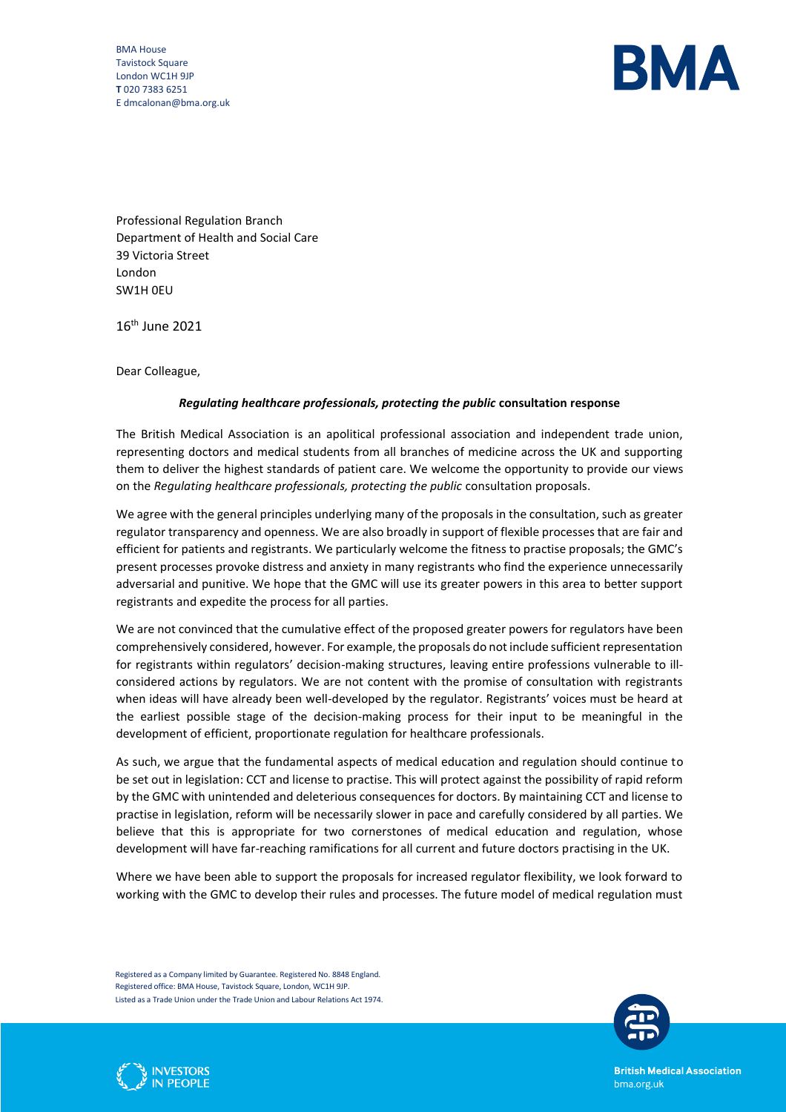BMA House Tavistock Square London WC1H 9JP **T** 020 7383 6251 E dmcalonan@bma.org.uk



Professional Regulation Branch Department of Health and Social Care 39 Victoria Street London SW1H 0EU

16 th June 2021

Dear Colleague,

#### *Regulating healthcare professionals, protecting the public* **consultation response**

The British Medical Association is an apolitical professional association and independent trade union, representing doctors and medical students from all branches of medicine across the UK and supporting them to deliver the highest standards of patient care. We welcome the opportunity to provide our views on the *Regulating healthcare professionals, protecting the public* consultation proposals.

We agree with the general principles underlying many of the proposals in the consultation, such as greater regulator transparency and openness. We are also broadly in support of flexible processes that are fair and efficient for patients and registrants. We particularly welcome the fitness to practise proposals; the GMC's present processes provoke distress and anxiety in many registrants who find the experience unnecessarily adversarial and punitive. We hope that the GMC will use its greater powers in this area to better support registrants and expedite the process for all parties.

We are not convinced that the cumulative effect of the proposed greater powers for regulators have been comprehensively considered, however. For example, the proposals do not include sufficient representation for registrants within regulators' decision-making structures, leaving entire professions vulnerable to illconsidered actions by regulators. We are not content with the promise of consultation with registrants when ideas will have already been well-developed by the regulator. Registrants' voices must be heard at the earliest possible stage of the decision-making process for their input to be meaningful in the development of efficient, proportionate regulation for healthcare professionals.

As such, we argue that the fundamental aspects of medical education and regulation should continue to be set out in legislation: CCT and license to practise. This will protect against the possibility of rapid reform by the GMC with unintended and deleterious consequences for doctors. By maintaining CCT and license to practise in legislation, reform will be necessarily slower in pace and carefully considered by all parties. We believe that this is appropriate for two cornerstones of medical education and regulation, whose development will have far-reaching ramifications for all current and future doctors practising in the UK.

Where we have been able to support the proposals for increased regulator flexibility, we look forward to working with the GMC to develop their rules and processes. The future model of medical regulation must

Registered as a Company limited by Guarantee. Registered No. 8848 England. Registered office: BMA House, Tavistock Square, London, WC1H 9JP. Listed as a Trade Union under the Trade Union and Labour Relations Act 1974.



N PEOPLE

**British Medical Association** bma.org.uk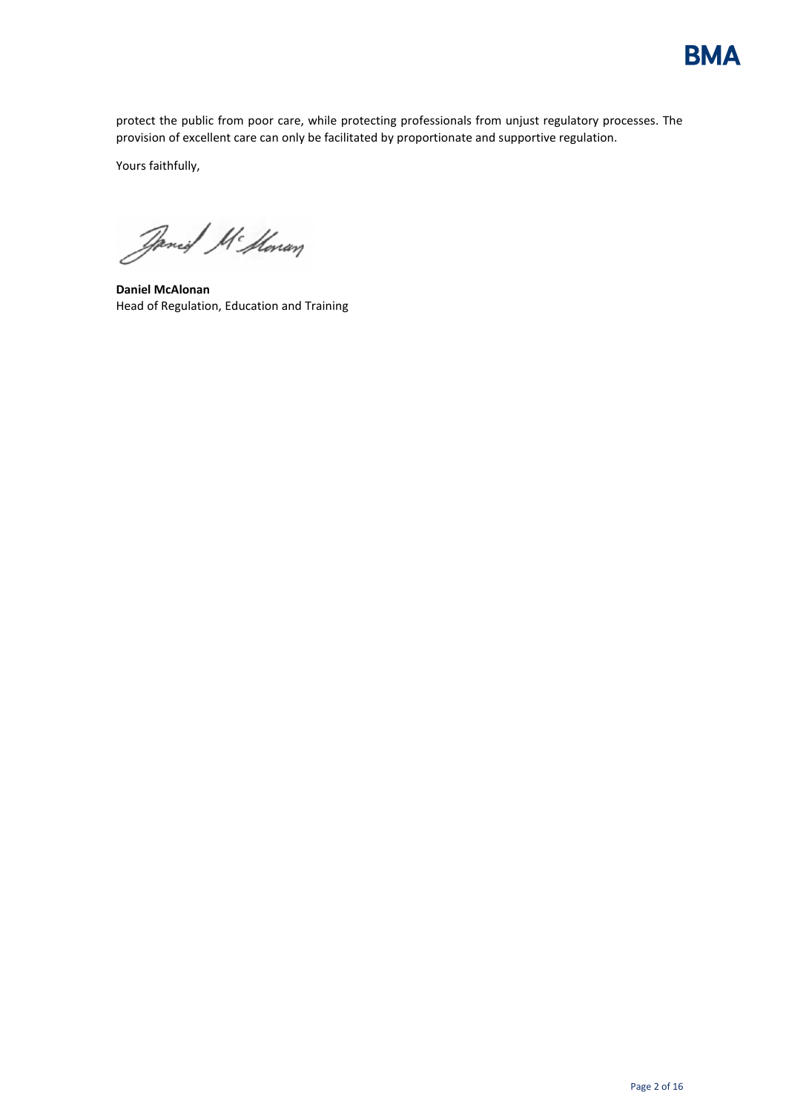

protect the public from poor care, while protecting professionals from unjust regulatory processes. The provision of excellent care can only be facilitated by proportionate and supportive regulation.

Yours faithfully,

Janeil Mc Honan

**Daniel McAlonan** Head of Regulation, Education and Training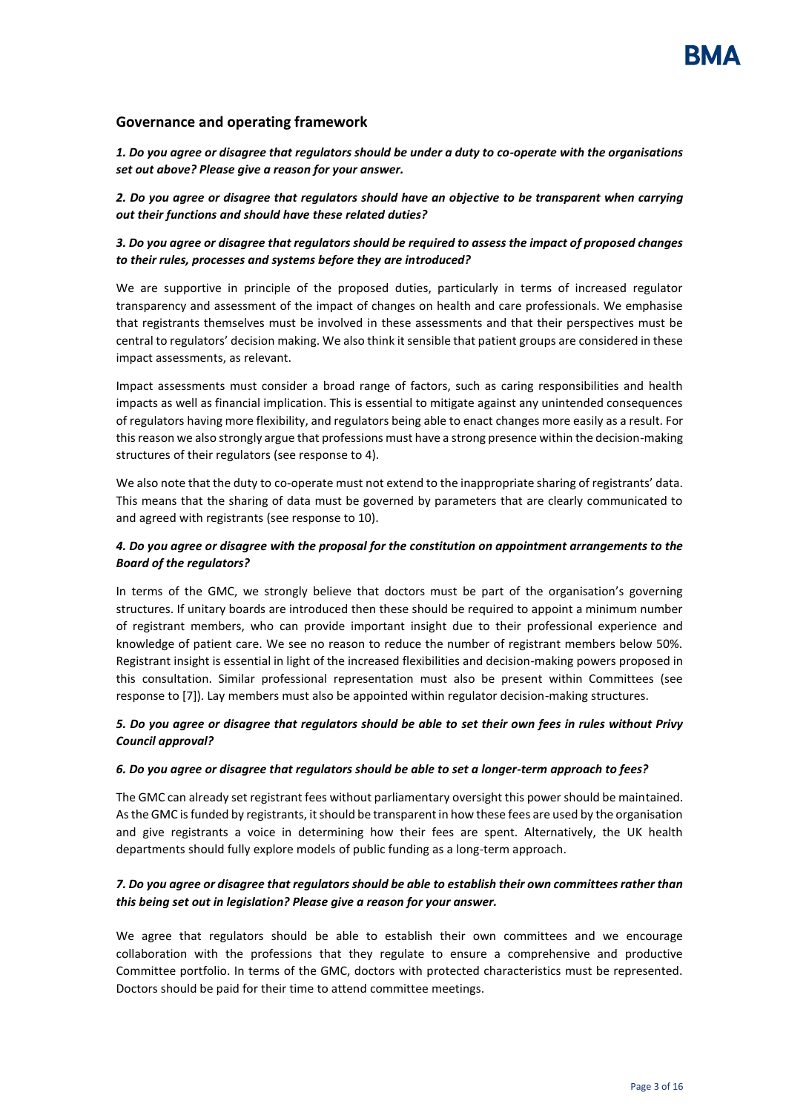#### **Governance and operating framework**

*1. Do you agree or disagree that regulators should be under a duty to co-operate with the organisations set out above? Please give a reason for your answer.* 

*2. Do you agree or disagree that regulators should have an objective to be transparent when carrying out their functions and should have these related duties?*

*3. Do you agree or disagree that regulators should be required to assess the impact of proposed changes to their rules, processes and systems before they are introduced?*

We are supportive in principle of the proposed duties, particularly in terms of increased regulator transparency and assessment of the impact of changes on health and care professionals. We emphasise that registrants themselves must be involved in these assessments and that their perspectives must be central to regulators' decision making. We also think it sensible that patient groups are considered in these impact assessments, as relevant.

Impact assessments must consider a broad range of factors, such as caring responsibilities and health impacts as well as financial implication. This is essential to mitigate against any unintended consequences of regulators having more flexibility, and regulators being able to enact changes more easily as a result. For this reason we also strongly argue that professions must have a strong presence within the decision-making structures of their regulators (see response to 4).

We also note that the duty to co-operate must not extend to the inappropriate sharing of registrants' data. This means that the sharing of data must be governed by parameters that are clearly communicated to and agreed with registrants (see response to 10).

#### *4. Do you agree or disagree with the proposal for the constitution on appointment arrangements to the Board of the regulators?*

In terms of the GMC, we strongly believe that doctors must be part of the organisation's governing structures. If unitary boards are introduced then these should be required to appoint a minimum number of registrant members, who can provide important insight due to their professional experience and knowledge of patient care. We see no reason to reduce the number of registrant members below 50%. Registrant insight is essential in light of the increased flexibilities and decision-making powers proposed in this consultation. Similar professional representation must also be present within Committees (see response to [7]). Lay members must also be appointed within regulator decision-making structures.

#### *5. Do you agree or disagree that regulators should be able to set their own fees in rules without Privy Council approval?*

#### *6. Do you agree or disagree that regulators should be able to set a longer-term approach to fees?*

The GMC can already set registrant fees without parliamentary oversight this power should be maintained. As the GMC is funded by registrants, it should be transparent in how these fees are used by the organisation and give registrants a voice in determining how their fees are spent. Alternatively, the UK health departments should fully explore models of public funding as a long-term approach.

## *7. Do you agree or disagree that regulators should be able to establish their own committees rather than this being set out in legislation? Please give a reason for your answer.*

We agree that regulators should be able to establish their own committees and we encourage collaboration with the professions that they regulate to ensure a comprehensive and productive Committee portfolio. In terms of the GMC, doctors with protected characteristics must be represented. Doctors should be paid for their time to attend committee meetings.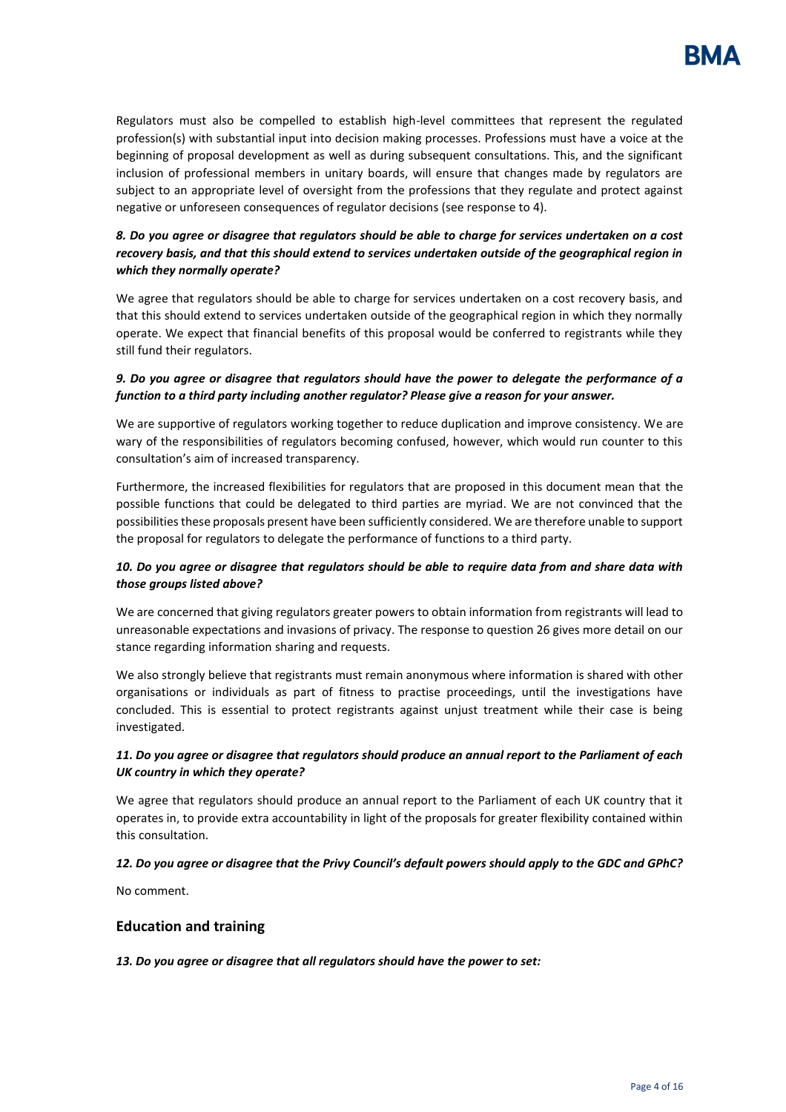Regulators must also be compelled to establish high-level committees that represent the regulated profession(s) with substantial input into decision making processes. Professions must have a voice at the beginning of proposal development as well as during subsequent consultations. This, and the significant inclusion of professional members in unitary boards, will ensure that changes made by regulators are subject to an appropriate level of oversight from the professions that they regulate and protect against negative or unforeseen consequences of regulator decisions (see response to 4).

# *8. Do you agree or disagree that regulators should be able to charge for services undertaken on a cost recovery basis, and that this should extend to services undertaken outside of the geographical region in which they normally operate?*

We agree that regulators should be able to charge for services undertaken on a cost recovery basis, and that this should extend to services undertaken outside of the geographical region in which they normally operate. We expect that financial benefits of this proposal would be conferred to registrants while they still fund their regulators.

### *9. Do you agree or disagree that regulators should have the power to delegate the performance of a function to a third party including another regulator? Please give a reason for your answer.*

We are supportive of regulators working together to reduce duplication and improve consistency. We are wary of the responsibilities of regulators becoming confused, however, which would run counter to this consultation's aim of increased transparency.

Furthermore, the increased flexibilities for regulators that are proposed in this document mean that the possible functions that could be delegated to third parties are myriad. We are not convinced that the possibilities these proposals present have been sufficiently considered. We are therefore unable to support the proposal for regulators to delegate the performance of functions to a third party.

## *10. Do you agree or disagree that regulators should be able to require data from and share data with those groups listed above?*

We are concerned that giving regulators greater powers to obtain information from registrants will lead to unreasonable expectations and invasions of privacy. The response to question 26 gives more detail on our stance regarding information sharing and requests.

We also strongly believe that registrants must remain anonymous where information is shared with other organisations or individuals as part of fitness to practise proceedings, until the investigations have concluded. This is essential to protect registrants against unjust treatment while their case is being investigated.

## *11. Do you agree or disagree that regulators should produce an annual report to the Parliament of each UK country in which they operate?*

We agree that regulators should produce an annual report to the Parliament of each UK country that it operates in, to provide extra accountability in light of the proposals for greater flexibility contained within this consultation.

## *12. Do you agree or disagree that the Privy Council's default powers should apply to the GDC and GPhC?*

No comment.

## **Education and training**

*13. Do you agree or disagree that all regulators should have the power to set:*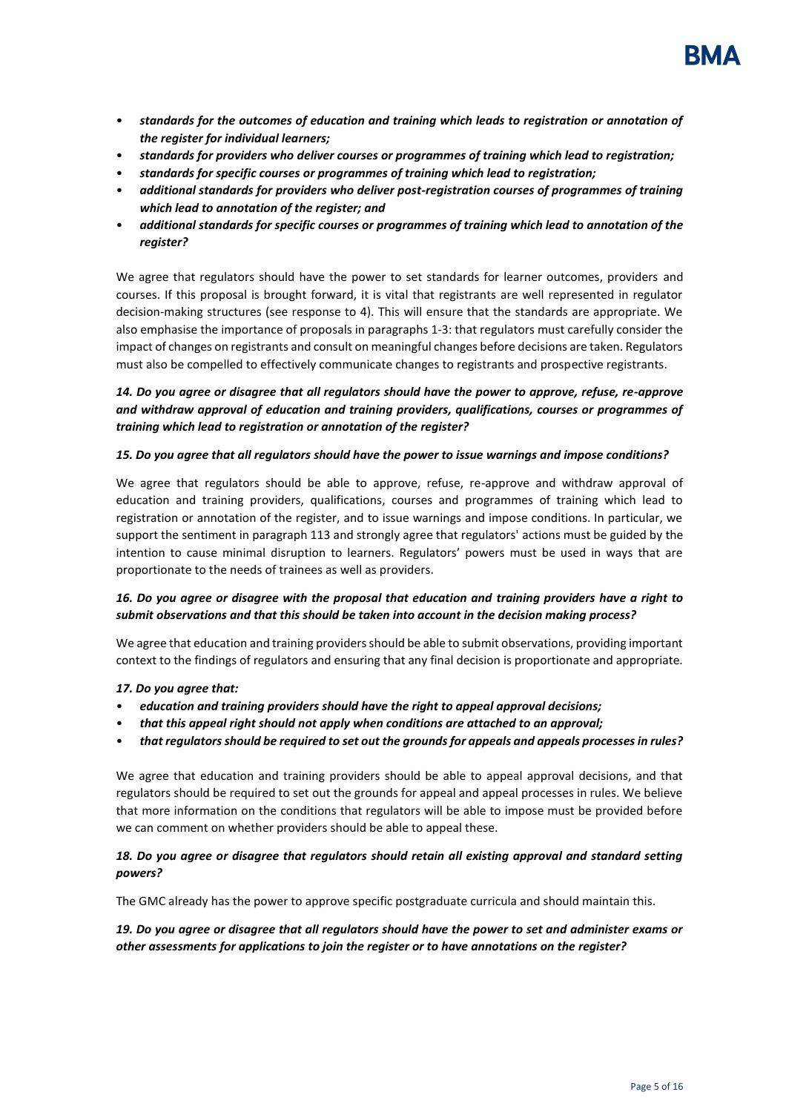

- *standards for the outcomes of education and training which leads to registration or annotation of the register for individual learners;*
- *standards for providers who deliver courses or programmes of training which lead to registration;*
- *standards for specific courses or programmes of training which lead to registration;*
- *additional standards for providers who deliver post-registration courses of programmes of training which lead to annotation of the register; and*
- *additional standards for specific courses or programmes of training which lead to annotation of the register?*

We agree that regulators should have the power to set standards for learner outcomes, providers and courses. If this proposal is brought forward, it is vital that registrants are well represented in regulator decision-making structures (see response to 4). This will ensure that the standards are appropriate. We also emphasise the importance of proposals in paragraphs 1-3: that regulators must carefully consider the impact of changes on registrants and consult on meaningful changes before decisions are taken. Regulators must also be compelled to effectively communicate changes to registrants and prospective registrants.

# *14. Do you agree or disagree that all regulators should have the power to approve, refuse, re-approve and withdraw approval of education and training providers, qualifications, courses or programmes of training which lead to registration or annotation of the register?*

#### *15. Do you agree that all regulators should have the power to issue warnings and impose conditions?*

We agree that regulators should be able to approve, refuse, re-approve and withdraw approval of education and training providers, qualifications, courses and programmes of training which lead to registration or annotation of the register, and to issue warnings and impose conditions. In particular, we support the sentiment in paragraph 113 and strongly agree that regulators' actions must be guided by the intention to cause minimal disruption to learners. Regulators' powers must be used in ways that are proportionate to the needs of trainees as well as providers.

#### *16. Do you agree or disagree with the proposal that education and training providers have a right to submit observations and that this should be taken into account in the decision making process?*

We agree that education and training providers should be able to submit observations, providing important context to the findings of regulators and ensuring that any final decision is proportionate and appropriate.

#### *17. Do you agree that:*

- *education and training providers should have the right to appeal approval decisions;*
- *that this appeal right should not apply when conditions are attached to an approval;*
- *that regulators should be required to set out the grounds for appeals and appeals processes in rules?*

We agree that education and training providers should be able to appeal approval decisions, and that regulators should be required to set out the grounds for appeal and appeal processes in rules. We believe that more information on the conditions that regulators will be able to impose must be provided before we can comment on whether providers should be able to appeal these.

#### *18. Do you agree or disagree that regulators should retain all existing approval and standard setting powers?*

The GMC already has the power to approve specific postgraduate curricula and should maintain this.

*19. Do you agree or disagree that all regulators should have the power to set and administer exams or other assessments for applications to join the register or to have annotations on the register?*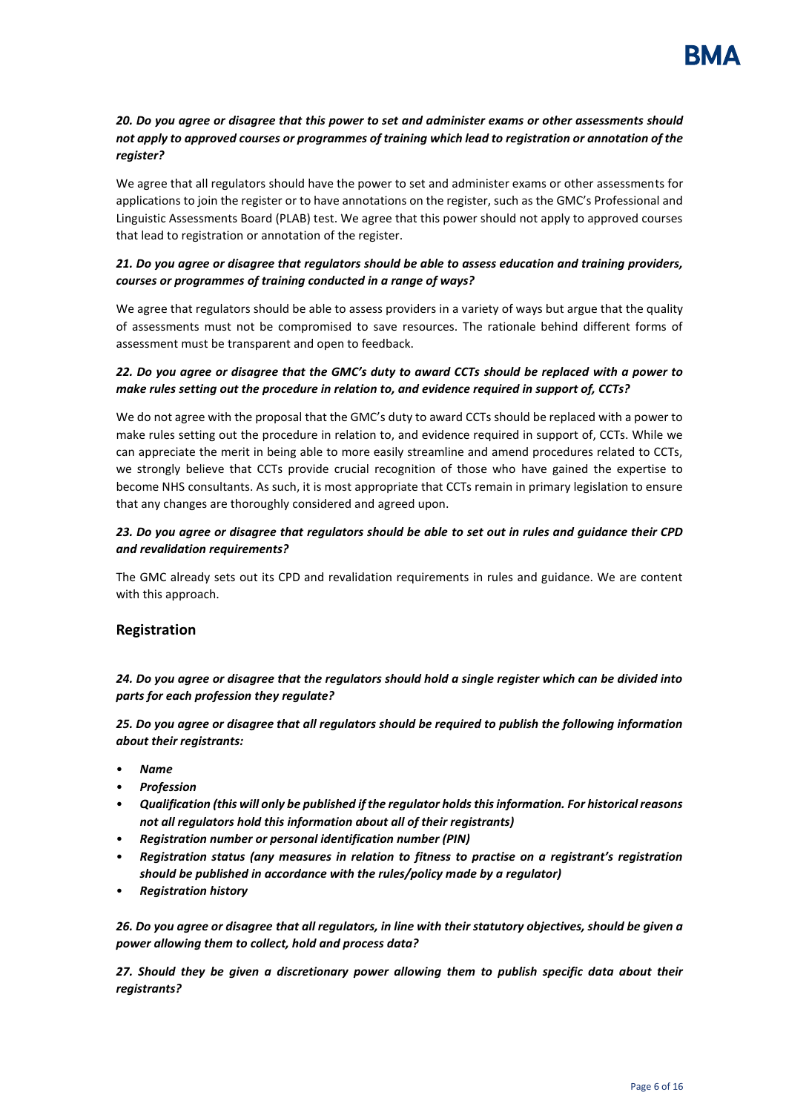## *20. Do you agree or disagree that this power to set and administer exams or other assessments should not apply to approved courses or programmes of training which lead to registration or annotation of the register?*

We agree that all regulators should have the power to set and administer exams or other assessments for applications to join the register or to have annotations on the register, such as the GMC's Professional and Linguistic Assessments Board (PLAB) test. We agree that this power should not apply to approved courses that lead to registration or annotation of the register.

# *21. Do you agree or disagree that regulators should be able to assess education and training providers, courses or programmes of training conducted in a range of ways?*

We agree that regulators should be able to assess providers in a variety of ways but argue that the quality of assessments must not be compromised to save resources. The rationale behind different forms of assessment must be transparent and open to feedback.

### *22. Do you agree or disagree that the GMC's duty to award CCTs should be replaced with a power to make rules setting out the procedure in relation to, and evidence required in support of, CCTs?*

We do not agree with the proposal that the GMC's duty to award CCTs should be replaced with a power to make rules setting out the procedure in relation to, and evidence required in support of, CCTs. While we can appreciate the merit in being able to more easily streamline and amend procedures related to CCTs, we strongly believe that CCTs provide crucial recognition of those who have gained the expertise to become NHS consultants. As such, it is most appropriate that CCTs remain in primary legislation to ensure that any changes are thoroughly considered and agreed upon.

### *23. Do you agree or disagree that regulators should be able to set out in rules and guidance their CPD and revalidation requirements?*

The GMC already sets out its CPD and revalidation requirements in rules and guidance. We are content with this approach.

## **Registration**

*24. Do you agree or disagree that the regulators should hold a single register which can be divided into parts for each profession they regulate?* 

*25. Do you agree or disagree that all regulators should be required to publish the following information about their registrants:* 

- *Name*
- *Profession*
- *Qualification (this will only be published if the regulator holds this information. For historical reasons not all regulators hold this information about all of their registrants)*
- *Registration number or personal identification number (PIN)*
- *Registration status (any measures in relation to fitness to practise on a registrant's registration should be published in accordance with the rules/policy made by a regulator)*
- *Registration history*

*26. Do you agree or disagree that all regulators, in line with their statutory objectives, should be given a power allowing them to collect, hold and process data?* 

*27. Should they be given a discretionary power allowing them to publish specific data about their registrants?*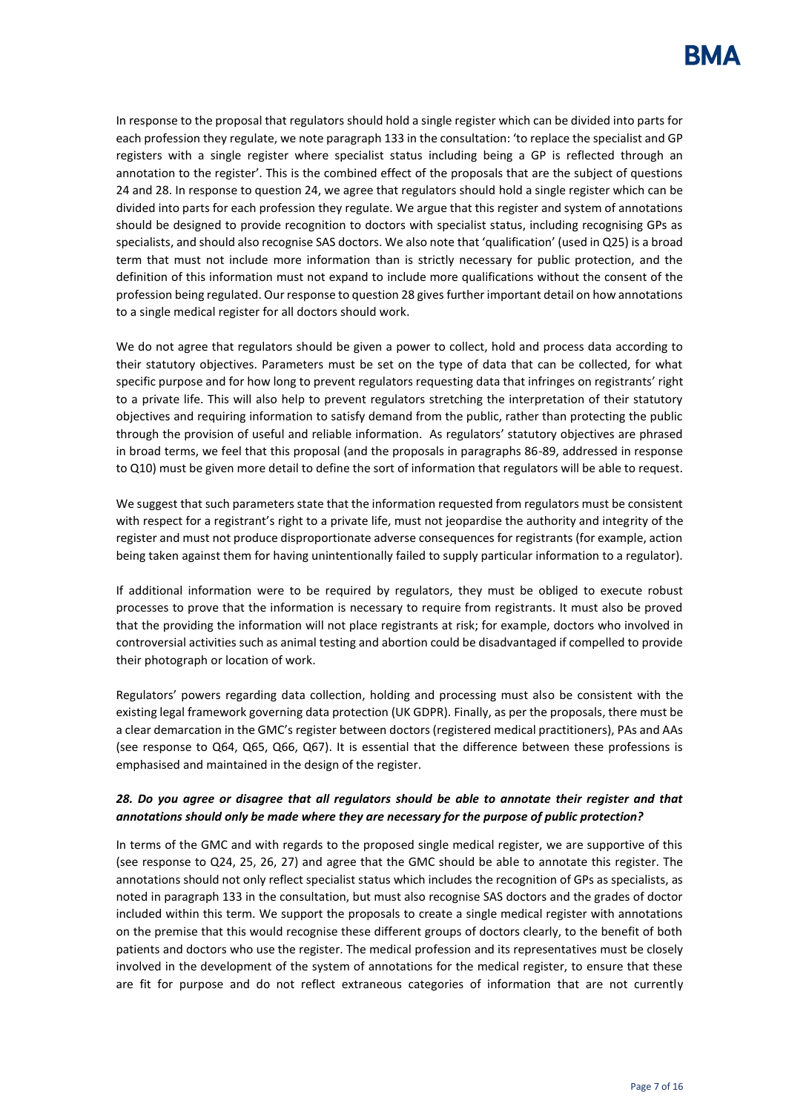In response to the proposal that regulators should hold a single register which can be divided into parts for each profession they regulate, we note paragraph 133 in the consultation: 'to replace the specialist and GP registers with a single register where specialist status including being a GP is reflected through an annotation to the register'. This is the combined effect of the proposals that are the subject of questions 24 and 28. In response to question 24, we agree that regulators should hold a single register which can be divided into parts for each profession they regulate. We argue that this register and system of annotations should be designed to provide recognition to doctors with specialist status, including recognising GPs as specialists, and should also recognise SAS doctors. We also note that 'qualification' (used in Q25) is a broad term that must not include more information than is strictly necessary for public protection, and the definition of this information must not expand to include more qualifications without the consent of the profession being regulated. Our response to question 28 gives further important detail on how annotations to a single medical register for all doctors should work.

We do not agree that regulators should be given a power to collect, hold and process data according to their statutory objectives. Parameters must be set on the type of data that can be collected, for what specific purpose and for how long to prevent regulators requesting data that infringes on registrants' right to a private life. This will also help to prevent regulators stretching the interpretation of their statutory objectives and requiring information to satisfy demand from the public, rather than protecting the public through the provision of useful and reliable information. As regulators' statutory objectives are phrased in broad terms, we feel that this proposal (and the proposals in paragraphs 86-89, addressed in response to Q10) must be given more detail to define the sort of information that regulators will be able to request.

We suggest that such parameters state that the information requested from regulators must be consistent with respect for a registrant's right to a private life, must not jeopardise the authority and integrity of the register and must not produce disproportionate adverse consequences for registrants (for example, action being taken against them for having unintentionally failed to supply particular information to a regulator).

If additional information were to be required by regulators, they must be obliged to execute robust processes to prove that the information is necessary to require from registrants. It must also be proved that the providing the information will not place registrants at risk; for example, doctors who involved in controversial activities such as animal testing and abortion could be disadvantaged if compelled to provide their photograph or location of work.

Regulators' powers regarding data collection, holding and processing must also be consistent with the existing legal framework governing data protection (UK GDPR). Finally, as per the proposals, there must be a clear demarcation in the GMC's register between doctors (registered medical practitioners), PAs and AAs (see response to Q64, Q65, Q66, Q67). It is essential that the difference between these professions is emphasised and maintained in the design of the register.

## *28. Do you agree or disagree that all regulators should be able to annotate their register and that annotations should only be made where they are necessary for the purpose of public protection?*

In terms of the GMC and with regards to the proposed single medical register, we are supportive of this (see response to Q24, 25, 26, 27) and agree that the GMC should be able to annotate this register. The annotations should not only reflect specialist status which includes the recognition of GPs as specialists, as noted in paragraph 133 in the consultation, but must also recognise SAS doctors and the grades of doctor included within this term. We support the proposals to create a single medical register with annotations on the premise that this would recognise these different groups of doctors clearly, to the benefit of both patients and doctors who use the register. The medical profession and its representatives must be closely involved in the development of the system of annotations for the medical register, to ensure that these are fit for purpose and do not reflect extraneous categories of information that are not currently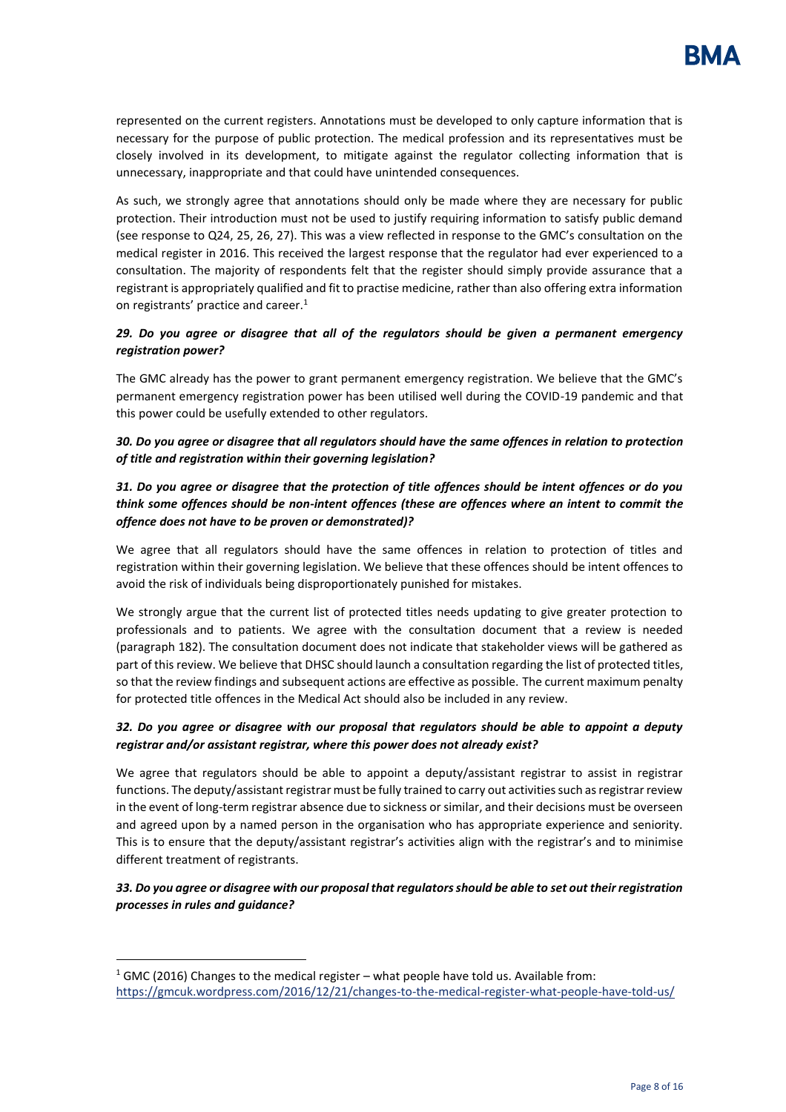represented on the current registers. Annotations must be developed to only capture information that is necessary for the purpose of public protection. The medical profession and its representatives must be closely involved in its development, to mitigate against the regulator collecting information that is unnecessary, inappropriate and that could have unintended consequences.

As such, we strongly agree that annotations should only be made where they are necessary for public protection. Their introduction must not be used to justify requiring information to satisfy public demand (see response to Q24, 25, 26, 27). This was a view reflected in response to the GMC's consultation on the medical register in 2016. This received the largest response that the regulator had ever experienced to a consultation. The majority of respondents felt that the register should simply provide assurance that a registrant is appropriately qualified and fit to practise medicine, rather than also offering extra information on registrants' practice and career.<sup>1</sup>

## *29. Do you agree or disagree that all of the regulators should be given a permanent emergency registration power?*

The GMC already has the power to grant permanent emergency registration. We believe that the GMC's permanent emergency registration power has been utilised well during the COVID-19 pandemic and that this power could be usefully extended to other regulators.

*30. Do you agree or disagree that all regulators should have the same offences in relation to protection of title and registration within their governing legislation?* 

# *31. Do you agree or disagree that the protection of title offences should be intent offences or do you think some offences should be non-intent offences (these are offences where an intent to commit the offence does not have to be proven or demonstrated)?*

We agree that all regulators should have the same offences in relation to protection of titles and registration within their governing legislation. We believe that these offences should be intent offences to avoid the risk of individuals being disproportionately punished for mistakes.

We strongly argue that the current list of protected titles needs updating to give greater protection to professionals and to patients. We agree with the consultation document that a review is needed (paragraph 182). The consultation document does not indicate that stakeholder views will be gathered as part of this review. We believe that DHSC should launch a consultation regarding the list of protected titles, so that the review findings and subsequent actions are effective as possible. The current maximum penalty for protected title offences in the Medical Act should also be included in any review.

## *32. Do you agree or disagree with our proposal that regulators should be able to appoint a deputy registrar and/or assistant registrar, where this power does not already exist?*

We agree that regulators should be able to appoint a deputy/assistant registrar to assist in registrar functions. The deputy/assistant registrar must be fully trained to carry out activities such as registrar review in the event of long-term registrar absence due to sickness or similar, and their decisions must be overseen and agreed upon by a named person in the organisation who has appropriate experience and seniority. This is to ensure that the deputy/assistant registrar's activities align with the registrar's and to minimise different treatment of registrants.

## *33. Do you agree or disagree with our proposal that regulators should be able to set out their registration processes in rules and guidance?*

 $1$  GMC (2016) Changes to the medical register – what people have told us. Available from: <https://gmcuk.wordpress.com/2016/12/21/changes-to-the-medical-register-what-people-have-told-us/>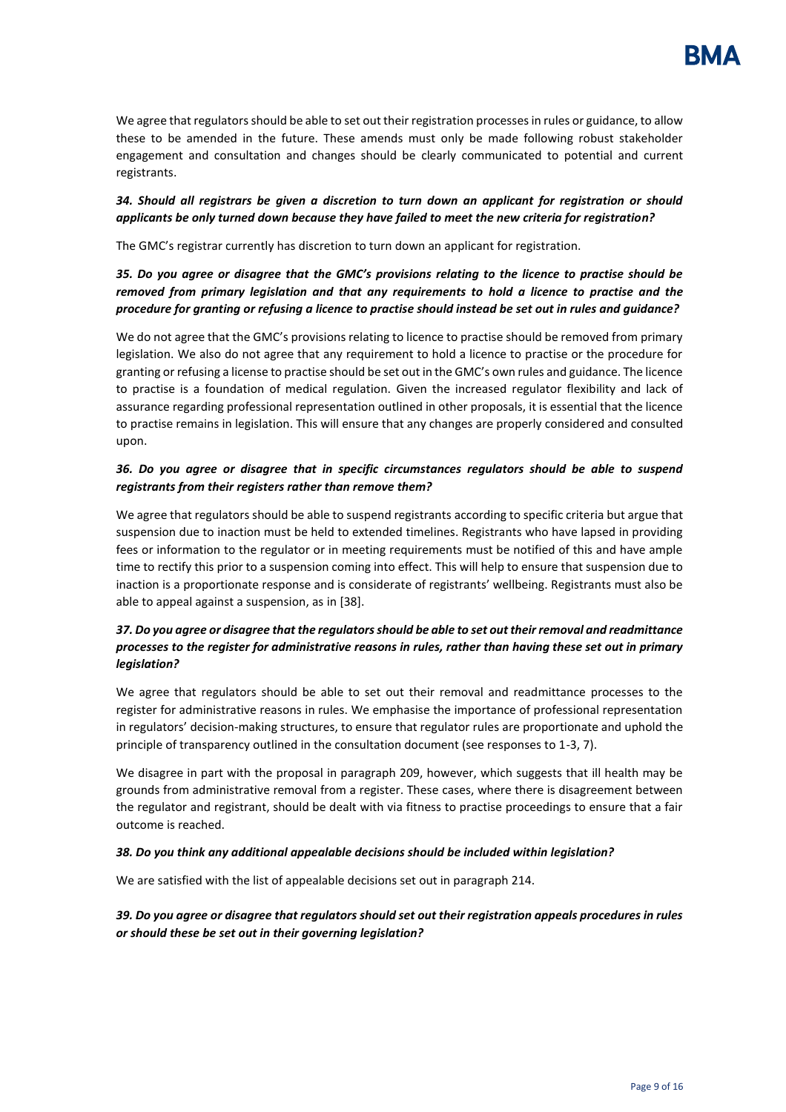We agree that regulators should be able to set out their registration processes in rules or guidance, to allow these to be amended in the future. These amends must only be made following robust stakeholder engagement and consultation and changes should be clearly communicated to potential and current registrants.

## *34. Should all registrars be given a discretion to turn down an applicant for registration or should applicants be only turned down because they have failed to meet the new criteria for registration?*

The GMC's registrar currently has discretion to turn down an applicant for registration.

# *35. Do you agree or disagree that the GMC's provisions relating to the licence to practise should be removed from primary legislation and that any requirements to hold a licence to practise and the procedure for granting or refusing a licence to practise should instead be set out in rules and guidance?*

We do not agree that the GMC's provisions relating to licence to practise should be removed from primary legislation. We also do not agree that any requirement to hold a licence to practise or the procedure for granting or refusing a license to practise should be set out in the GMC's own rules and guidance. The licence to practise is a foundation of medical regulation. Given the increased regulator flexibility and lack of assurance regarding professional representation outlined in other proposals, it is essential that the licence to practise remains in legislation. This will ensure that any changes are properly considered and consulted upon.

### *36. Do you agree or disagree that in specific circumstances regulators should be able to suspend registrants from their registers rather than remove them?*

We agree that regulators should be able to suspend registrants according to specific criteria but argue that suspension due to inaction must be held to extended timelines. Registrants who have lapsed in providing fees or information to the regulator or in meeting requirements must be notified of this and have ample time to rectify this prior to a suspension coming into effect. This will help to ensure that suspension due to inaction is a proportionate response and is considerate of registrants' wellbeing. Registrants must also be able to appeal against a suspension, as in [38].

#### *37. Do you agree or disagree that the regulators should be able to set out their removal and readmittance processes to the register for administrative reasons in rules, rather than having these set out in primary legislation?*

We agree that regulators should be able to set out their removal and readmittance processes to the register for administrative reasons in rules. We emphasise the importance of professional representation in regulators' decision-making structures, to ensure that regulator rules are proportionate and uphold the principle of transparency outlined in the consultation document (see responses to 1-3, 7).

We disagree in part with the proposal in paragraph 209, however, which suggests that ill health may be grounds from administrative removal from a register. These cases, where there is disagreement between the regulator and registrant, should be dealt with via fitness to practise proceedings to ensure that a fair outcome is reached.

#### *38. Do you think any additional appealable decisions should be included within legislation?*

We are satisfied with the list of appealable decisions set out in paragraph 214.

## *39. Do you agree or disagree that regulators should set out their registration appeals procedures in rules or should these be set out in their governing legislation?*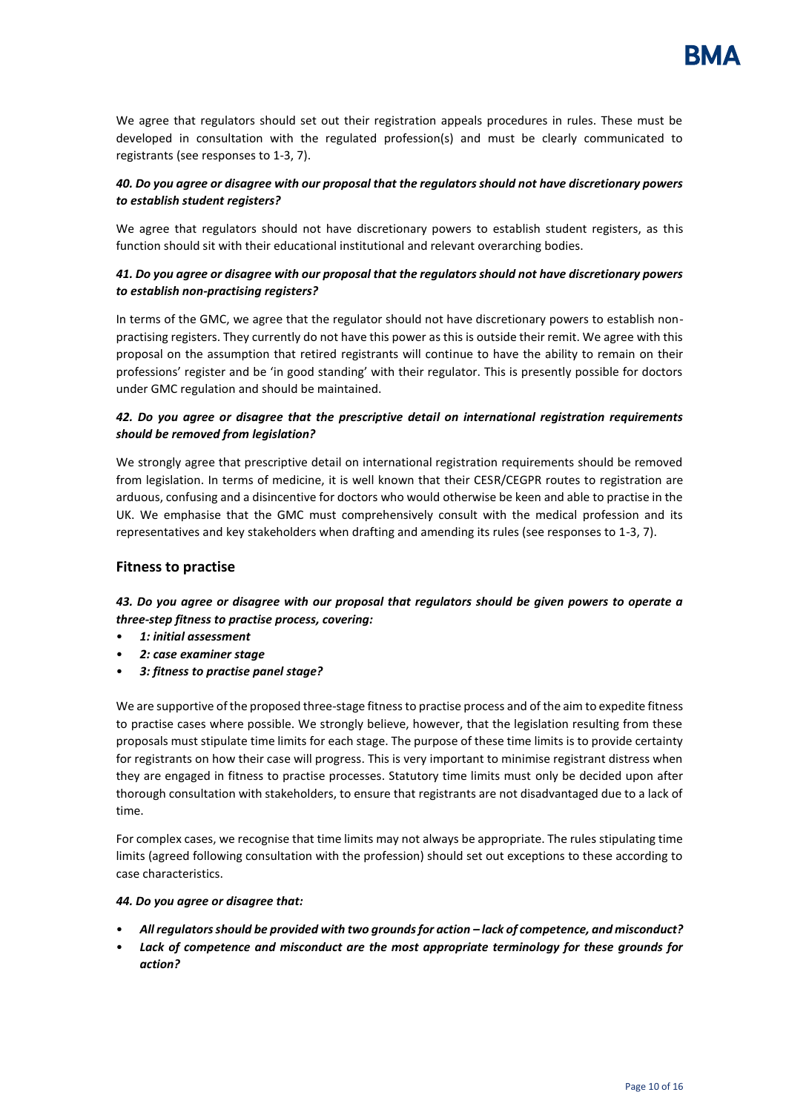We agree that regulators should set out their registration appeals procedures in rules. These must be developed in consultation with the regulated profession(s) and must be clearly communicated to registrants (see responses to 1-3, 7).

## *40. Do you agree or disagree with our proposal that the regulators should not have discretionary powers to establish student registers?*

We agree that regulators should not have discretionary powers to establish student registers, as this function should sit with their educational institutional and relevant overarching bodies.

## *41. Do you agree or disagree with our proposal that the regulators should not have discretionary powers to establish non-practising registers?*

In terms of the GMC, we agree that the regulator should not have discretionary powers to establish nonpractising registers. They currently do not have this power as this is outside their remit. We agree with this proposal on the assumption that retired registrants will continue to have the ability to remain on their professions' register and be 'in good standing' with their regulator. This is presently possible for doctors under GMC regulation and should be maintained.

### *42. Do you agree or disagree that the prescriptive detail on international registration requirements should be removed from legislation?*

We strongly agree that prescriptive detail on international registration requirements should be removed from legislation. In terms of medicine, it is well known that their CESR/CEGPR routes to registration are arduous, confusing and a disincentive for doctors who would otherwise be keen and able to practise in the UK. We emphasise that the GMC must comprehensively consult with the medical profession and its representatives and key stakeholders when drafting and amending its rules (see responses to 1-3, 7).

## **Fitness to practise**

*43. Do you agree or disagree with our proposal that regulators should be given powers to operate a three-step fitness to practise process, covering:* 

- *1: initial assessment*
- *2: case examiner stage*
- *3: fitness to practise panel stage?*

We are supportive of the proposed three-stage fitness to practise process and of the aim to expedite fitness to practise cases where possible. We strongly believe, however, that the legislation resulting from these proposals must stipulate time limits for each stage. The purpose of these time limits is to provide certainty for registrants on how their case will progress. This is very important to minimise registrant distress when they are engaged in fitness to practise processes. Statutory time limits must only be decided upon after thorough consultation with stakeholders, to ensure that registrants are not disadvantaged due to a lack of time.

For complex cases, we recognise that time limits may not always be appropriate. The rules stipulating time limits (agreed following consultation with the profession) should set out exceptions to these according to case characteristics.

## *44. Do you agree or disagree that:*

- *All regulators should be provided with two grounds for action – lack of competence, and misconduct?*
- *Lack of competence and misconduct are the most appropriate terminology for these grounds for action?*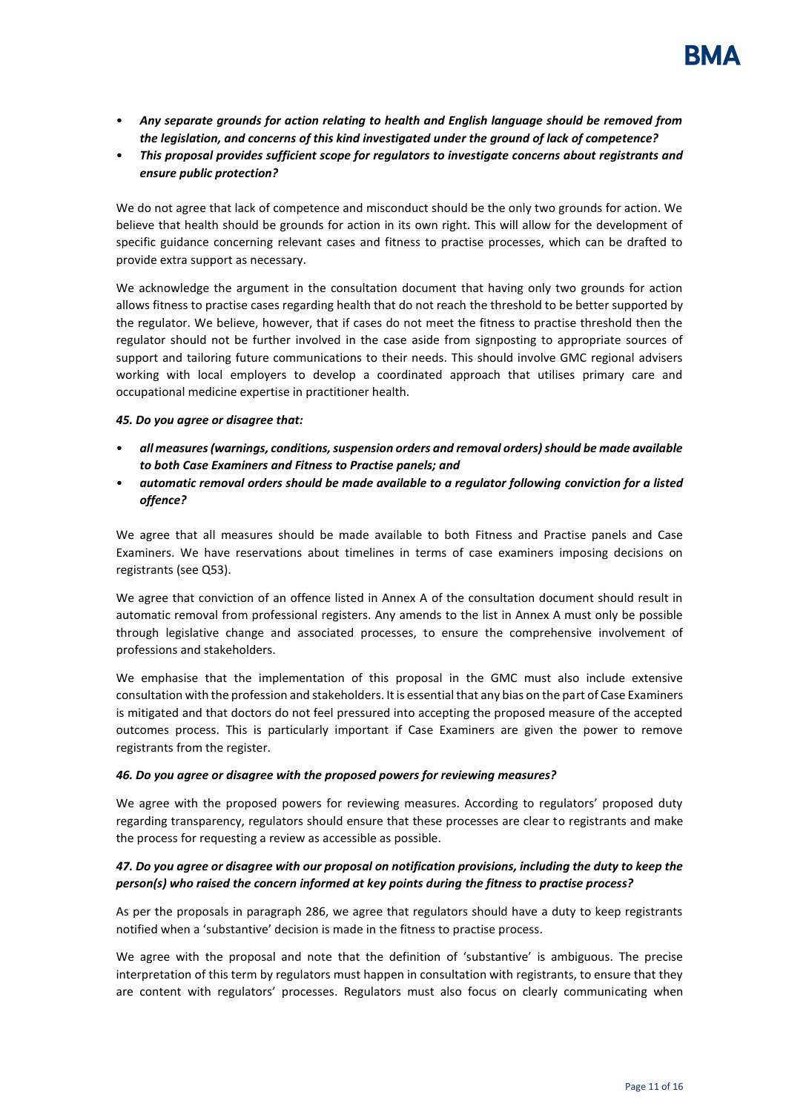- *Any separate grounds for action relating to health and English language should be removed from the legislation, and concerns of this kind investigated under the ground of lack of competence?*
- *This proposal provides sufficient scope for regulators to investigate concerns about registrants and ensure public protection?*

We do not agree that lack of competence and misconduct should be the only two grounds for action. We believe that health should be grounds for action in its own right. This will allow for the development of specific guidance concerning relevant cases and fitness to practise processes, which can be drafted to provide extra support as necessary.

We acknowledge the argument in the consultation document that having only two grounds for action allows fitness to practise cases regarding health that do not reach the threshold to be better supported by the regulator. We believe, however, that if cases do not meet the fitness to practise threshold then the regulator should not be further involved in the case aside from signposting to appropriate sources of support and tailoring future communications to their needs. This should involve GMC regional advisers working with local employers to develop a coordinated approach that utilises primary care and occupational medicine expertise in practitioner health.

#### *45. Do you agree or disagree that:*

- *all measures (warnings, conditions, suspension orders and removal orders) should be made available to both Case Examiners and Fitness to Practise panels; and*
- *automatic removal orders should be made available to a regulator following conviction for a listed offence?*

We agree that all measures should be made available to both Fitness and Practise panels and Case Examiners. We have reservations about timelines in terms of case examiners imposing decisions on registrants (see Q53).

We agree that conviction of an offence listed in Annex A of the consultation document should result in automatic removal from professional registers. Any amends to the list in Annex A must only be possible through legislative change and associated processes, to ensure the comprehensive involvement of professions and stakeholders.

We emphasise that the implementation of this proposal in the GMC must also include extensive consultation with the profession and stakeholders. It is essential that any bias on the part of Case Examiners is mitigated and that doctors do not feel pressured into accepting the proposed measure of the accepted outcomes process. This is particularly important if Case Examiners are given the power to remove registrants from the register.

#### *46. Do you agree or disagree with the proposed powers for reviewing measures?*

We agree with the proposed powers for reviewing measures. According to regulators' proposed duty regarding transparency, regulators should ensure that these processes are clear to registrants and make the process for requesting a review as accessible as possible.

#### *47. Do you agree or disagree with our proposal on notification provisions, including the duty to keep the person(s) who raised the concern informed at key points during the fitness to practise process?*

As per the proposals in paragraph 286, we agree that regulators should have a duty to keep registrants notified when a 'substantive' decision is made in the fitness to practise process.

We agree with the proposal and note that the definition of 'substantive' is ambiguous. The precise interpretation of this term by regulators must happen in consultation with registrants, to ensure that they are content with regulators' processes. Regulators must also focus on clearly communicating when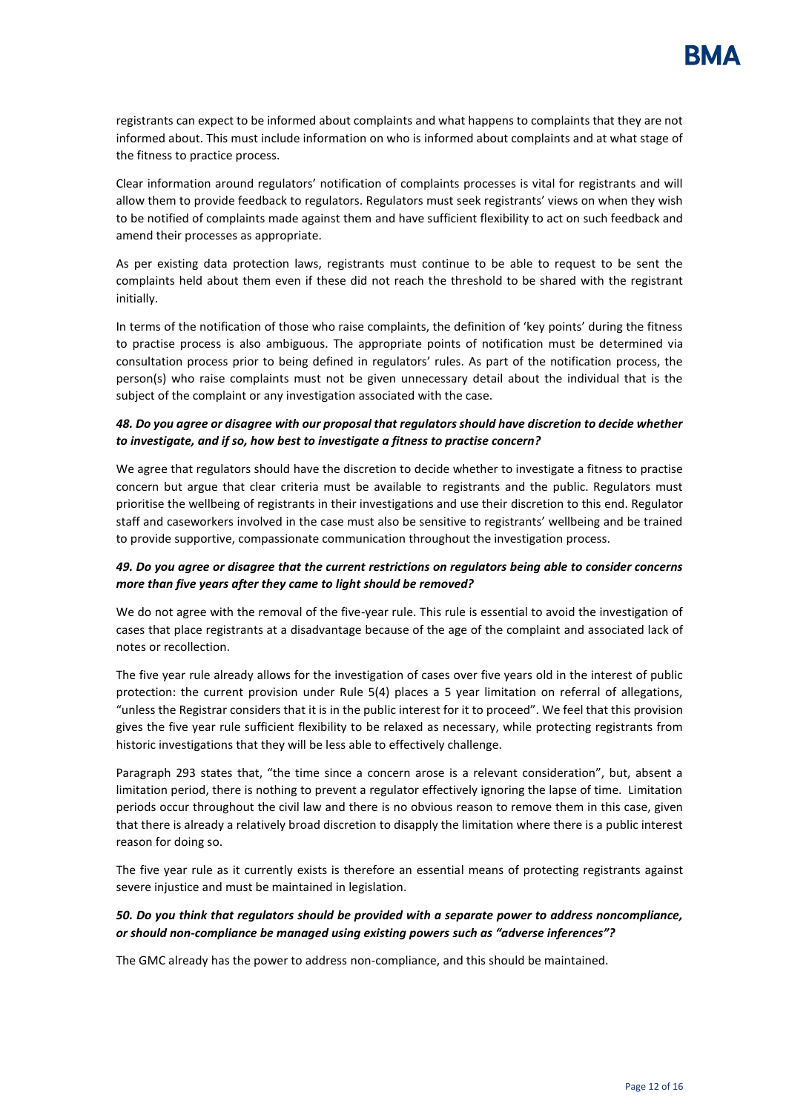registrants can expect to be informed about complaints and what happens to complaints that they are not informed about. This must include information on who is informed about complaints and at what stage of the fitness to practice process.

Clear information around regulators' notification of complaints processes is vital for registrants and will allow them to provide feedback to regulators. Regulators must seek registrants' views on when they wish to be notified of complaints made against them and have sufficient flexibility to act on such feedback and amend their processes as appropriate.

As per existing data protection laws, registrants must continue to be able to request to be sent the complaints held about them even if these did not reach the threshold to be shared with the registrant initially.

In terms of the notification of those who raise complaints, the definition of 'key points' during the fitness to practise process is also ambiguous. The appropriate points of notification must be determined via consultation process prior to being defined in regulators' rules. As part of the notification process, the person(s) who raise complaints must not be given unnecessary detail about the individual that is the subject of the complaint or any investigation associated with the case.

### *48. Do you agree or disagree with our proposal that regulators should have discretion to decide whether to investigate, and if so, how best to investigate a fitness to practise concern?*

We agree that regulators should have the discretion to decide whether to investigate a fitness to practise concern but argue that clear criteria must be available to registrants and the public. Regulators must prioritise the wellbeing of registrants in their investigations and use their discretion to this end. Regulator staff and caseworkers involved in the case must also be sensitive to registrants' wellbeing and be trained to provide supportive, compassionate communication throughout the investigation process.

#### *49. Do you agree or disagree that the current restrictions on regulators being able to consider concerns more than five years after they came to light should be removed?*

We do not agree with the removal of the five-year rule. This rule is essential to avoid the investigation of cases that place registrants at a disadvantage because of the age of the complaint and associated lack of notes or recollection.

The five year rule already allows for the investigation of cases over five years old in the interest of public protection: the current provision under Rule 5(4) places a 5 year limitation on referral of allegations, "unless the Registrar considers that it is in the public interest for it to proceed". We feel that this provision gives the five year rule sufficient flexibility to be relaxed as necessary, while protecting registrants from historic investigations that they will be less able to effectively challenge.

Paragraph 293 states that, "the time since a concern arose is a relevant consideration", but, absent a limitation period, there is nothing to prevent a regulator effectively ignoring the lapse of time. Limitation periods occur throughout the civil law and there is no obvious reason to remove them in this case, given that there is already a relatively broad discretion to disapply the limitation where there is a public interest reason for doing so.

The five year rule as it currently exists is therefore an essential means of protecting registrants against severe injustice and must be maintained in legislation.

#### *50. Do you think that regulators should be provided with a separate power to address noncompliance, or should non-compliance be managed using existing powers such as "adverse inferences"?*

The GMC already has the power to address non-compliance, and this should be maintained.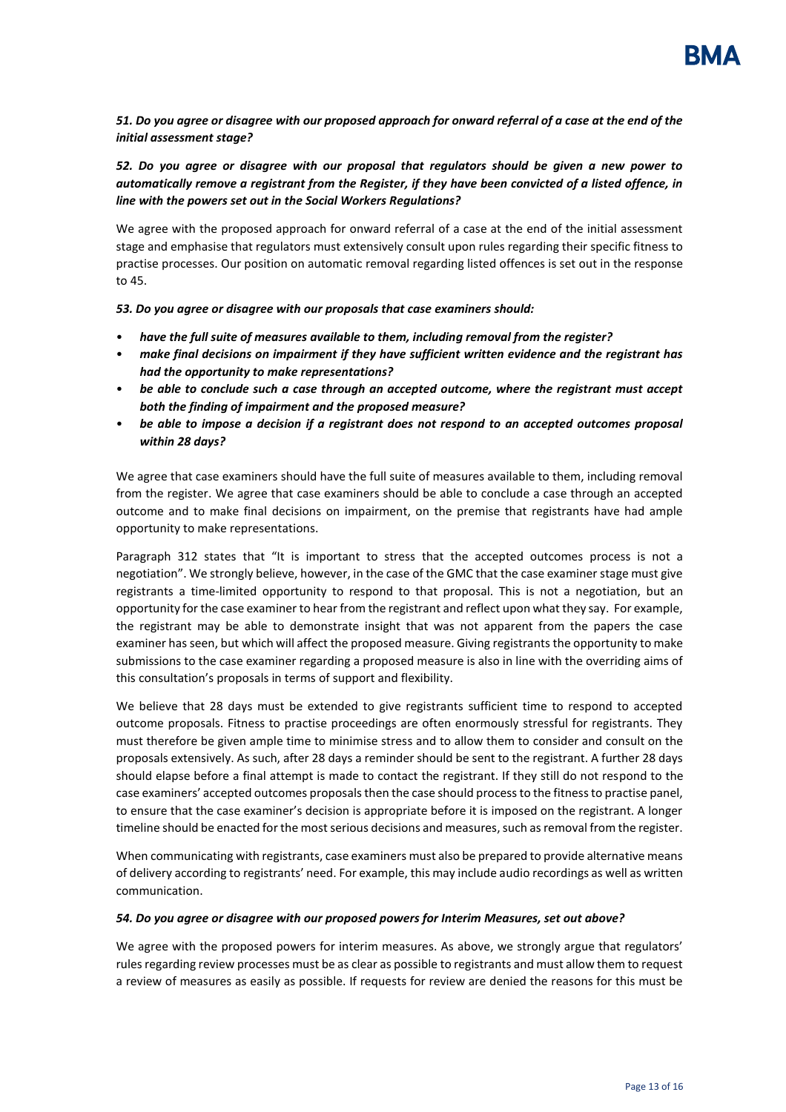## *51. Do you agree or disagree with our proposed approach for onward referral of a case at the end of the initial assessment stage?*

# *52. Do you agree or disagree with our proposal that regulators should be given a new power to automatically remove a registrant from the Register, if they have been convicted of a listed offence, in line with the powers set out in the Social Workers Regulations?*

We agree with the proposed approach for onward referral of a case at the end of the initial assessment stage and emphasise that regulators must extensively consult upon rules regarding their specific fitness to practise processes. Our position on automatic removal regarding listed offences is set out in the response to 45.

*53. Do you agree or disagree with our proposals that case examiners should:* 

- *have the full suite of measures available to them, including removal from the register?*
- *make final decisions on impairment if they have sufficient written evidence and the registrant has had the opportunity to make representations?*
- *be able to conclude such a case through an accepted outcome, where the registrant must accept both the finding of impairment and the proposed measure?*
- *be able to impose a decision if a registrant does not respond to an accepted outcomes proposal within 28 days?*

We agree that case examiners should have the full suite of measures available to them, including removal from the register. We agree that case examiners should be able to conclude a case through an accepted outcome and to make final decisions on impairment, on the premise that registrants have had ample opportunity to make representations.

Paragraph 312 states that "It is important to stress that the accepted outcomes process is not a negotiation". We strongly believe, however, in the case of the GMC that the case examiner stage must give registrants a time-limited opportunity to respond to that proposal. This is not a negotiation, but an opportunity for the case examiner to hear from the registrant and reflect upon what they say. For example, the registrant may be able to demonstrate insight that was not apparent from the papers the case examiner has seen, but which will affect the proposed measure. Giving registrants the opportunity to make submissions to the case examiner regarding a proposed measure is also in line with the overriding aims of this consultation's proposals in terms of support and flexibility.

We believe that 28 days must be extended to give registrants sufficient time to respond to accepted outcome proposals. Fitness to practise proceedings are often enormously stressful for registrants. They must therefore be given ample time to minimise stress and to allow them to consider and consult on the proposals extensively. As such, after 28 days a reminder should be sent to the registrant. A further 28 days should elapse before a final attempt is made to contact the registrant. If they still do not respond to the case examiners' accepted outcomes proposals then the case should process to the fitness to practise panel, to ensure that the case examiner's decision is appropriate before it is imposed on the registrant. A longer timeline should be enacted for the most serious decisions and measures, such as removal from the register.

When communicating with registrants, case examiners must also be prepared to provide alternative means of delivery according to registrants' need. For example, this may include audio recordings as well as written communication.

#### *54. Do you agree or disagree with our proposed powers for Interim Measures, set out above?*

We agree with the proposed powers for interim measures. As above, we strongly argue that regulators' rules regarding review processes must be as clear as possible to registrants and must allow them to request a review of measures as easily as possible. If requests for review are denied the reasons for this must be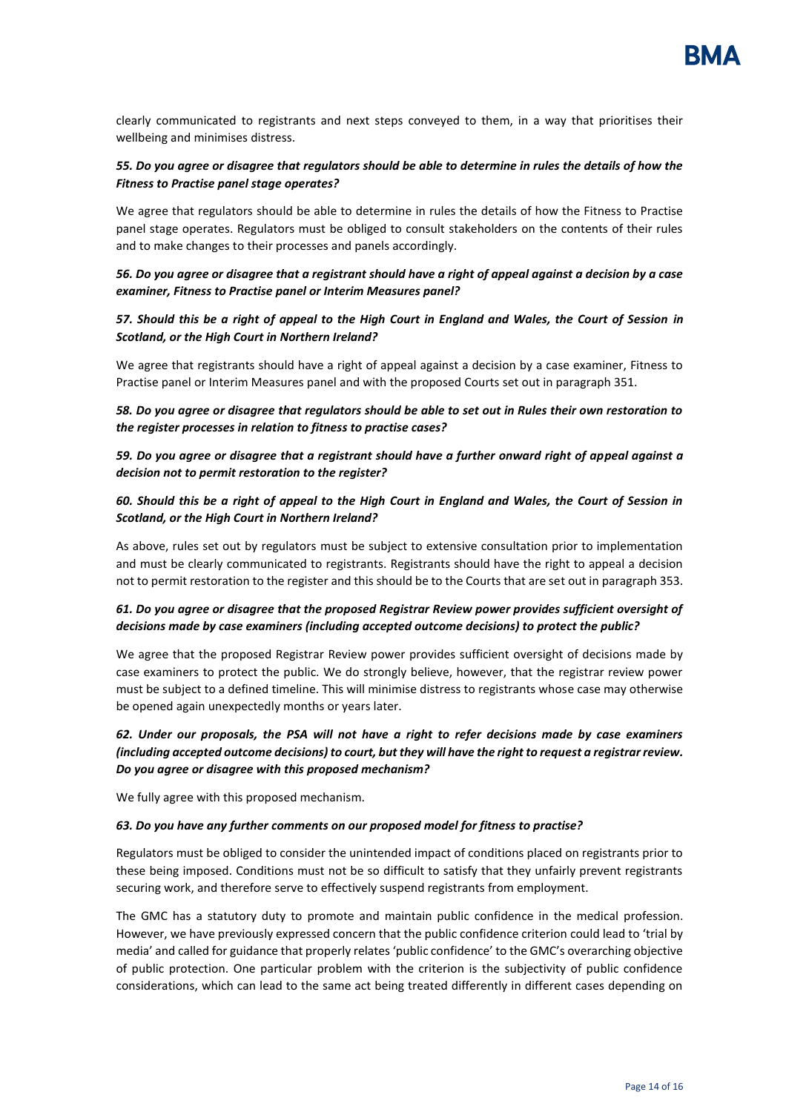clearly communicated to registrants and next steps conveyed to them, in a way that prioritises their wellbeing and minimises distress.

## *55. Do you agree or disagree that regulators should be able to determine in rules the details of how the Fitness to Practise panel stage operates?*

We agree that regulators should be able to determine in rules the details of how the Fitness to Practise panel stage operates. Regulators must be obliged to consult stakeholders on the contents of their rules and to make changes to their processes and panels accordingly.

### *56. Do you agree or disagree that a registrant should have a right of appeal against a decision by a case examiner, Fitness to Practise panel or Interim Measures panel?*

#### *57. Should this be a right of appeal to the High Court in England and Wales, the Court of Session in Scotland, or the High Court in Northern Ireland?*

We agree that registrants should have a right of appeal against a decision by a case examiner, Fitness to Practise panel or Interim Measures panel and with the proposed Courts set out in paragraph 351.

*58. Do you agree or disagree that regulators should be able to set out in Rules their own restoration to the register processes in relation to fitness to practise cases?* 

*59. Do you agree or disagree that a registrant should have a further onward right of appeal against a decision not to permit restoration to the register?* 

#### *60. Should this be a right of appeal to the High Court in England and Wales, the Court of Session in Scotland, or the High Court in Northern Ireland?*

As above, rules set out by regulators must be subject to extensive consultation prior to implementation and must be clearly communicated to registrants. Registrants should have the right to appeal a decision not to permit restoration to the register and this should be to the Courts that are set out in paragraph 353.

#### *61. Do you agree or disagree that the proposed Registrar Review power provides sufficient oversight of decisions made by case examiners (including accepted outcome decisions) to protect the public?*

We agree that the proposed Registrar Review power provides sufficient oversight of decisions made by case examiners to protect the public. We do strongly believe, however, that the registrar review power must be subject to a defined timeline. This will minimise distress to registrants whose case may otherwise be opened again unexpectedly months or years later.

## *62. Under our proposals, the PSA will not have a right to refer decisions made by case examiners (including accepted outcome decisions) to court, but they will have the right to request a registrar review. Do you agree or disagree with this proposed mechanism?*

We fully agree with this proposed mechanism.

#### *63. Do you have any further comments on our proposed model for fitness to practise?*

Regulators must be obliged to consider the unintended impact of conditions placed on registrants prior to these being imposed. Conditions must not be so difficult to satisfy that they unfairly prevent registrants securing work, and therefore serve to effectively suspend registrants from employment.

The GMC has a statutory duty to promote and maintain public confidence in the medical profession. However, we have previously expressed concern that the public confidence criterion could lead to 'trial by media' and called for guidance that properly relates 'public confidence' to the GMC's overarching objective of public protection. One particular problem with the criterion is the subjectivity of public confidence considerations, which can lead to the same act being treated differently in different cases depending on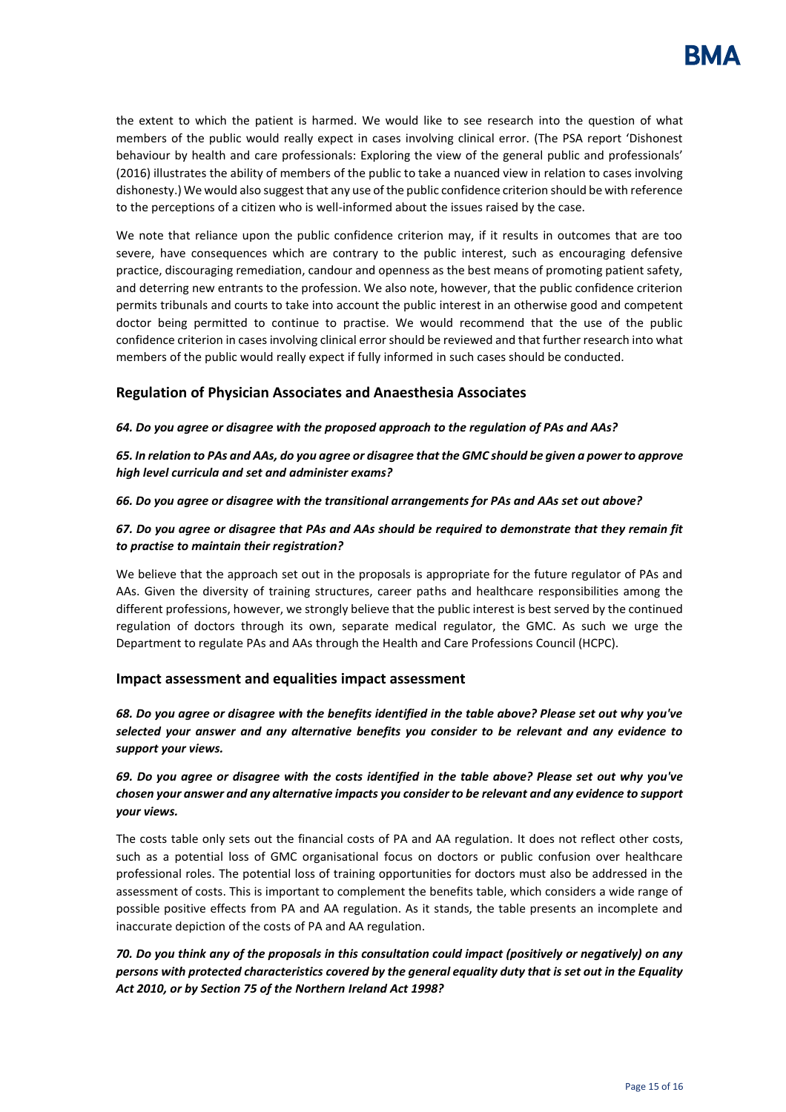the extent to which the patient is harmed. We would like to see research into the question of what members of the public would really expect in cases involving clinical error. (The PSA report 'Dishonest behaviour by health and care professionals: Exploring the view of the general public and professionals' (2016) illustrates the ability of members of the public to take a nuanced view in relation to cases involving dishonesty.) We would also suggest that any use of the public confidence criterion should be with reference to the perceptions of a citizen who is well-informed about the issues raised by the case.

We note that reliance upon the public confidence criterion may, if it results in outcomes that are too severe, have consequences which are contrary to the public interest, such as encouraging defensive practice, discouraging remediation, candour and openness as the best means of promoting patient safety, and deterring new entrants to the profession. We also note, however, that the public confidence criterion permits tribunals and courts to take into account the public interest in an otherwise good and competent doctor being permitted to continue to practise. We would recommend that the use of the public confidence criterion in cases involving clinical error should be reviewed and that further research into what members of the public would really expect if fully informed in such cases should be conducted.

# **Regulation of Physician Associates and Anaesthesia Associates**

*64. Do you agree or disagree with the proposed approach to the regulation of PAs and AAs?*

*65. In relation to PAs and AAs, do you agree or disagree that the GMC should be given a power to approve high level curricula and set and administer exams?*

#### *66. Do you agree or disagree with the transitional arrangements for PAs and AAs set out above?*

## *67. Do you agree or disagree that PAs and AAs should be required to demonstrate that they remain fit to practise to maintain their registration?*

We believe that the approach set out in the proposals is appropriate for the future regulator of PAs and AAs. Given the diversity of training structures, career paths and healthcare responsibilities among the different professions, however, we strongly believe that the public interest is best served by the continued regulation of doctors through its own, separate medical regulator, the GMC. As such we urge the Department to regulate PAs and AAs through the Health and Care Professions Council (HCPC).

## **Impact assessment and equalities impact assessment**

*68. Do you agree or disagree with the benefits identified in the table above? Please set out why you've selected your answer and any alternative benefits you consider to be relevant and any evidence to support your views.*

# *69. Do you agree or disagree with the costs identified in the table above? Please set out why you've chosen your answer and any alternative impacts you consider to be relevant and any evidence to support your views.*

The costs table only sets out the financial costs of PA and AA regulation. It does not reflect other costs, such as a potential loss of GMC organisational focus on doctors or public confusion over healthcare professional roles. The potential loss of training opportunities for doctors must also be addressed in the assessment of costs. This is important to complement the benefits table, which considers a wide range of possible positive effects from PA and AA regulation. As it stands, the table presents an incomplete and inaccurate depiction of the costs of PA and AA regulation.

# *70. Do you think any of the proposals in this consultation could impact (positively or negatively) on any persons with protected characteristics covered by the general equality duty that is set out in the Equality Act 2010, or by Section 75 of the Northern Ireland Act 1998?*